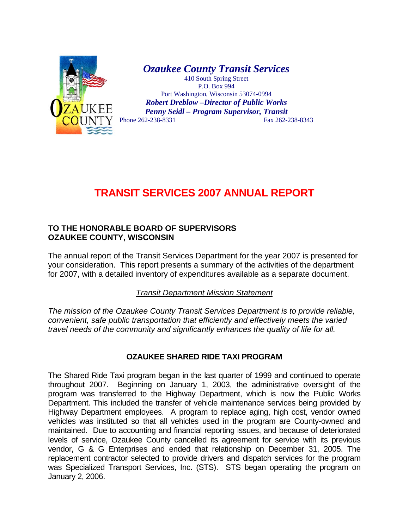

*Ozaukee County Transit Services*  410 South Spring Street

P.O. Box 994 Port Washington, Wisconsin 53074-0994 *Robert Dreblow –Director of Public Works Penny Seidl – Program Supervisor, Transit*  Phone 262-238-8331 Fax 262-238-8343

## **TRANSIT SERVICES 2007 ANNUAL REPORT**

## **TO THE HONORABLE BOARD OF SUPERVISORS OZAUKEE COUNTY, WISCONSIN**

The annual report of the Transit Services Department for the year 2007 is presented for your consideration. This report presents a summary of the activities of the department for 2007, with a detailed inventory of expenditures available as a separate document.

*Transit Department Mission Statement*

*The mission of the Ozaukee County Transit Services Department is to provide reliable, convenient, safe public transportation that efficiently and effectively meets the varied travel needs of the community and significantly enhances the quality of life for all.* 

## **OZAUKEE SHARED RIDE TAXI PROGRAM**

The Shared Ride Taxi program began in the last quarter of 1999 and continued to operate throughout 2007. Beginning on January 1, 2003, the administrative oversight of the program was transferred to the Highway Department, which is now the Public Works Department. This included the transfer of vehicle maintenance services being provided by Highway Department employees. A program to replace aging, high cost, vendor owned vehicles was instituted so that all vehicles used in the program are County-owned and maintained. Due to accounting and financial reporting issues, and because of deteriorated levels of service, Ozaukee County cancelled its agreement for service with its previous vendor, G & G Enterprises and ended that relationship on December 31, 2005. The replacement contractor selected to provide drivers and dispatch services for the program was Specialized Transport Services, Inc. (STS). STS began operating the program on January 2, 2006.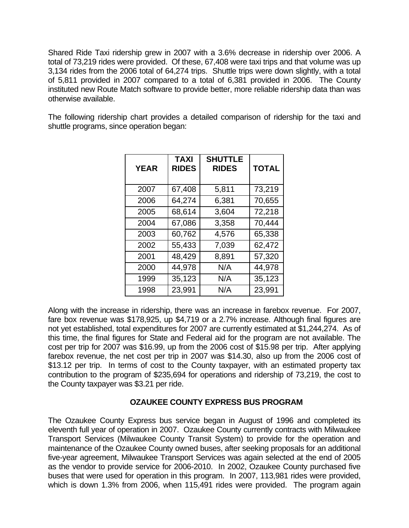Shared Ride Taxi ridership grew in 2007 with a 3.6% decrease in ridership over 2006. A total of 73,219 rides were provided. Of these, 67,408 were taxi trips and that volume was up 3,134 rides from the 2006 total of 64,274 trips. Shuttle trips were down slightly, with a total of 5,811 provided in 2007 compared to a total of 6,381 provided in 2006. The County instituted new Route Match software to provide better, more reliable ridership data than was otherwise available.

The following ridership chart provides a detailed comparison of ridership for the taxi and shuttle programs, since operation began:

| <b>YEAR</b> | <b>TAXI</b><br><b>RIDES</b> | <b>SHUTTLE</b><br><b>RIDES</b> | <b>TOTAL</b> |
|-------------|-----------------------------|--------------------------------|--------------|
| 2007        | 67,408                      | 5,811                          | 73,219       |
| 2006        | 64,274                      | 6,381                          | 70,655       |
| 2005        | 68,614                      | 3,604                          | 72,218       |
| 2004        | 67,086                      | 3,358                          | 70,444       |
| 2003        | 60,762                      | 4,576                          | 65,338       |
| 2002        | 55,433                      | 7,039                          | 62,472       |
| 2001        | 48,429                      | 8,891                          | 57,320       |
| 2000        | 44,978                      | N/A                            | 44,978       |
| 1999        | 35,123                      | N/A                            | 35,123       |
| 1998        | 23,991                      | N/A                            | 23,991       |

Along with the increase in ridership, there was an increase in farebox revenue. For 2007, fare box revenue was \$178,925, up \$4,719 or a 2.7% increase. Although final figures are not yet established, total expenditures for 2007 are currently estimated at \$1,244,274. As of this time, the final figures for State and Federal aid for the program are not available. The cost per trip for 2007 was \$16.99, up from the 2006 cost of \$15.98 per trip. After applying farebox revenue, the net cost per trip in 2007 was \$14.30, also up from the 2006 cost of \$13.12 per trip. In terms of cost to the County taxpayer, with an estimated property tax contribution to the program of \$235,694 for operations and ridership of 73,219, the cost to the County taxpayer was \$3.21 per ride.

## **OZAUKEE COUNTY EXPRESS BUS PROGRAM**

The Ozaukee County Express bus service began in August of 1996 and completed its eleventh full year of operation in 2007. Ozaukee County currently contracts with Milwaukee Transport Services (Milwaukee County Transit System) to provide for the operation and maintenance of the Ozaukee County owned buses, after seeking proposals for an additional five-year agreement, Milwaukee Transport Services was again selected at the end of 2005 as the vendor to provide service for 2006-2010. In 2002, Ozaukee County purchased five buses that were used for operation in this program. In 2007, 113,981 rides were provided, which is down 1.3% from 2006, when 115,491 rides were provided. The program again